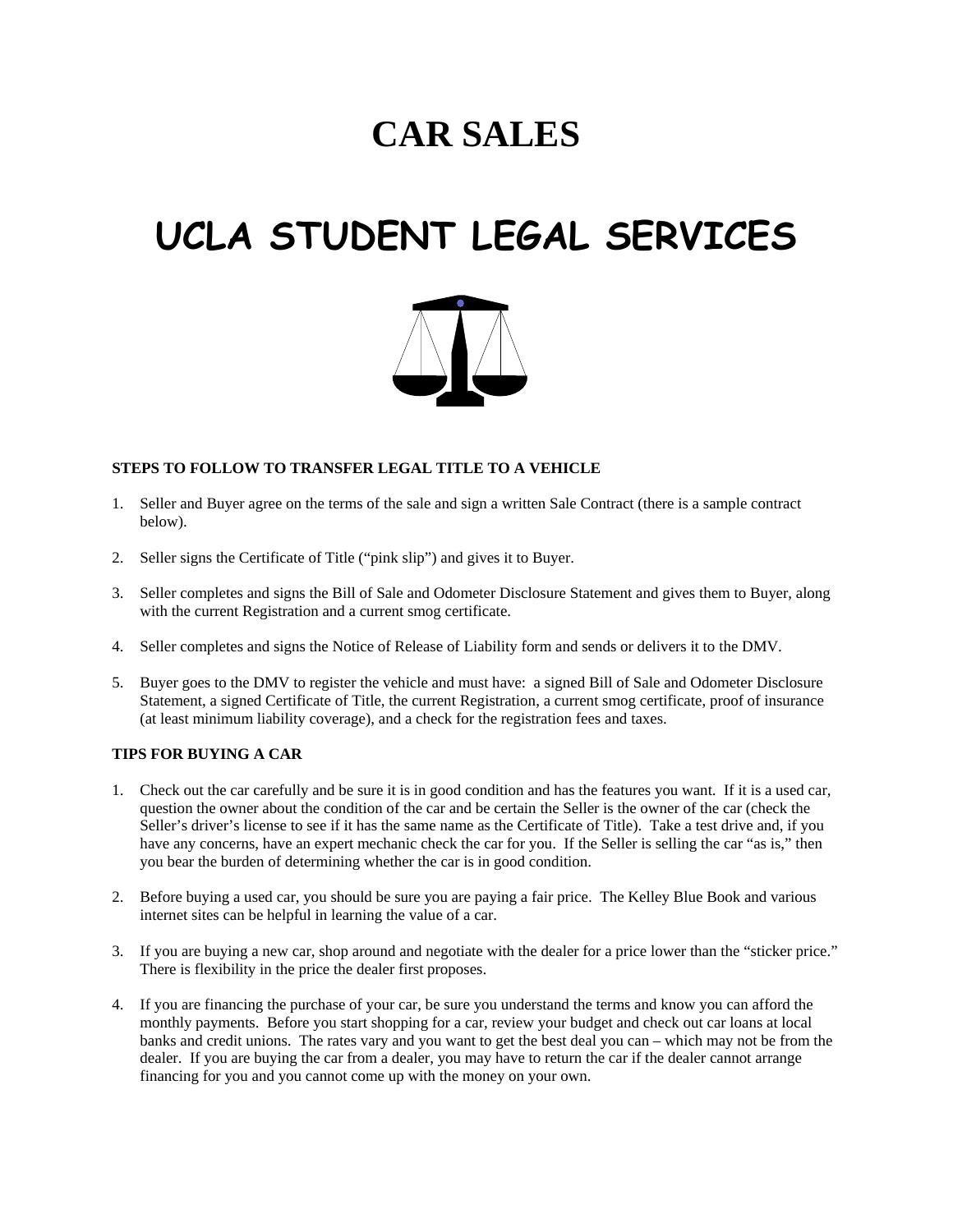# **CAR SALES**

# **UCLA STUDENT LEGAL SERVICES**



#### **STEPS TO FOLLOW TO TRANSFER LEGAL TITLE TO A VEHICLE**

- 1. Seller and Buyer agree on the terms of the sale and sign a written Sale Contract (there is a sample contract below).
- 2. Seller signs the Certificate of Title ("pink slip") and gives it to Buyer.
- 3. Seller completes and signs the Bill of Sale and Odometer Disclosure Statement and gives them to Buyer, along with the current Registration and a current smog certificate.
- 4. Seller completes and signs the Notice of Release of Liability form and sends or delivers it to the DMV.
- 5. Buyer goes to the DMV to register the vehicle and must have: a signed Bill of Sale and Odometer Disclosure Statement, a signed Certificate of Title, the current Registration, a current smog certificate, proof of insurance (at least minimum liability coverage), and a check for the registration fees and taxes.

## **TIPS FOR BUYING A CAR**

- 1. Check out the car carefully and be sure it is in good condition and has the features you want. If it is a used car, question the owner about the condition of the car and be certain the Seller is the owner of the car (check the Seller's driver's license to see if it has the same name as the Certificate of Title). Take a test drive and, if you have any concerns, have an expert mechanic check the car for you. If the Seller is selling the car "as is," then you bear the burden of determining whether the car is in good condition.
- 2. Before buying a used car, you should be sure you are paying a fair price. The Kelley Blue Book and various internet sites can be helpful in learning the value of a car.
- 3. If you are buying a new car, shop around and negotiate with the dealer for a price lower than the "sticker price." There is flexibility in the price the dealer first proposes.
- 4. If you are financing the purchase of your car, be sure you understand the terms and know you can afford the monthly payments. Before you start shopping for a car, review your budget and check out car loans at local banks and credit unions. The rates vary and you want to get the best deal you can – which may not be from the dealer. If you are buying the car from a dealer, you may have to return the car if the dealer cannot arrange financing for you and you cannot come up with the money on your own.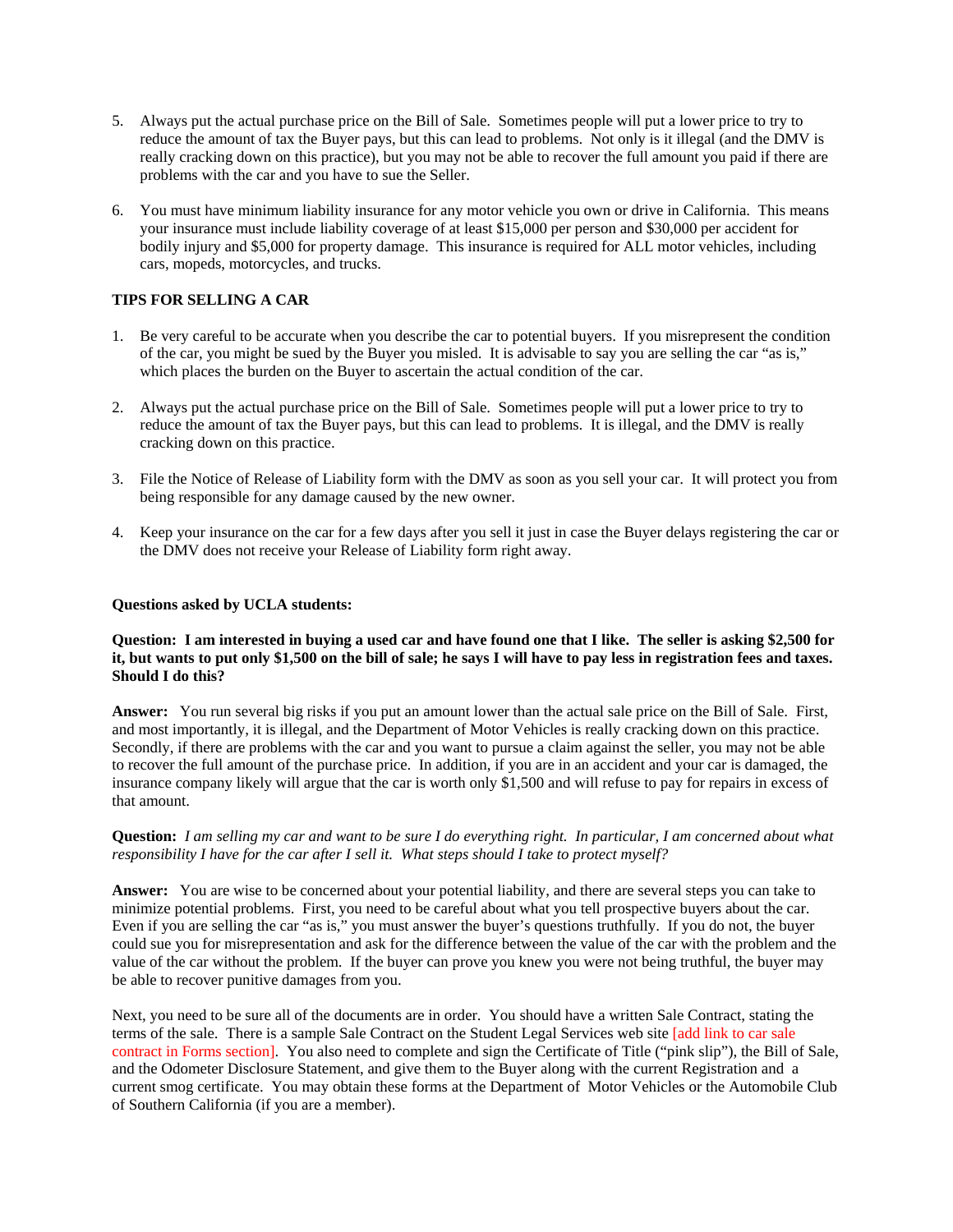- 5. Always put the actual purchase price on the Bill of Sale. Sometimes people will put a lower price to try to reduce the amount of tax the Buyer pays, but this can lead to problems. Not only is it illegal (and the DMV is really cracking down on this practice), but you may not be able to recover the full amount you paid if there are problems with the car and you have to sue the Seller.
- 6. You must have minimum liability insurance for any motor vehicle you own or drive in California. This means your insurance must include liability coverage of at least \$15,000 per person and \$30,000 per accident for bodily injury and \$5,000 for property damage. This insurance is required for ALL motor vehicles, including cars, mopeds, motorcycles, and trucks.

### **TIPS FOR SELLING A CAR**

- 1. Be very careful to be accurate when you describe the car to potential buyers. If you misrepresent the condition of the car, you might be sued by the Buyer you misled. It is advisable to say you are selling the car "as is," which places the burden on the Buyer to ascertain the actual condition of the car.
- 2. Always put the actual purchase price on the Bill of Sale. Sometimes people will put a lower price to try to reduce the amount of tax the Buyer pays, but this can lead to problems. It is illegal, and the DMV is really cracking down on this practice.
- 3. File the Notice of Release of Liability form with the DMV as soon as you sell your car. It will protect you from being responsible for any damage caused by the new owner.
- 4. Keep your insurance on the car for a few days after you sell it just in case the Buyer delays registering the car or the DMV does not receive your Release of Liability form right away.

#### **Questions asked by UCLA students:**

#### **Question: I am interested in buying a used car and have found one that I like. The seller is asking \$2,500 for it, but wants to put only \$1,500 on the bill of sale; he says I will have to pay less in registration fees and taxes. Should I do this?**

**Answer:** You run several big risks if you put an amount lower than the actual sale price on the Bill of Sale. First, and most importantly, it is illegal, and the Department of Motor Vehicles is really cracking down on this practice. Secondly, if there are problems with the car and you want to pursue a claim against the seller, you may not be able to recover the full amount of the purchase price. In addition, if you are in an accident and your car is damaged, the insurance company likely will argue that the car is worth only \$1,500 and will refuse to pay for repairs in excess of that amount.

### **Question:** *I am selling my car and want to be sure I do everything right. In particular, I am concerned about what responsibility I have for the car after I sell it. What steps should I take to protect myself?*

Answer: You are wise to be concerned about your potential liability, and there are several steps you can take to minimize potential problems. First, you need to be careful about what you tell prospective buyers about the car. Even if you are selling the car "as is," you must answer the buyer's questions truthfully. If you do not, the buyer could sue you for misrepresentation and ask for the difference between the value of the car with the problem and the value of the car without the problem. If the buyer can prove you knew you were not being truthful, the buyer may be able to recover punitive damages from you.

Next, you need to be sure all of the documents are in order. You should have a written Sale Contract, stating the terms of the sale. There is a sample Sale Contract on the Student Legal Services web site [add link to car sale contract in Forms section]. You also need to complete and sign the Certificate of Title ("pink slip"), the Bill of Sale, and the Odometer Disclosure Statement, and give them to the Buyer along with the current Registration and a current smog certificate. You may obtain these forms at the Department of Motor Vehicles or the Automobile Club of Southern California (if you are a member).